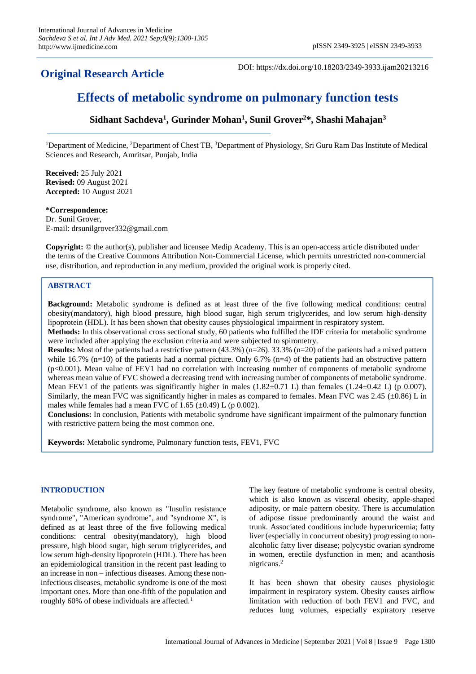## **Original Research Article**

DOI: https://dx.doi.org/10.18203/2349-3933.ijam20213216

# **Effects of metabolic syndrome on pulmonary function tests**

### **Sidhant Sachdeva<sup>1</sup> , Gurinder Mohan<sup>1</sup> , Sunil Grover<sup>2</sup>\*, Shashi Mahajan<sup>3</sup>**

<sup>1</sup>Department of Medicine, <sup>2</sup>Department of Chest TB, <sup>3</sup>Department of Physiology, Sri Guru Ram Das Institute of Medical Sciences and Research, Amritsar, Punjab, India

**Received:** 25 July 2021 **Revised:** 09 August 2021 **Accepted:** 10 August 2021

#### **\*Correspondence:**

Dr. Sunil Grover, E-mail: drsunilgrover332@gmail.com

**Copyright:** © the author(s), publisher and licensee Medip Academy. This is an open-access article distributed under the terms of the Creative Commons Attribution Non-Commercial License, which permits unrestricted non-commercial use, distribution, and reproduction in any medium, provided the original work is properly cited.

#### **ABSTRACT**

**Background:** Metabolic syndrome is defined as at least three of the five following medical conditions: central obesity(mandatory), high blood pressure, high blood sugar, high serum triglycerides, and low serum high-density lipoprotein (HDL). It has been shown that obesity causes physiological impairment in respiratory system.

**Methods:** In this observational cross sectional study, 60 patients who fulfilled the IDF criteria for metabolic syndrome were included after applying the exclusion criteria and were subjected to spirometry.

**Results:** Most of the patients had a restrictive pattern (43.3%) (n=26). 33.3% (n=20) of the patients had a mixed pattern while 16.7% (n=10) of the patients had a normal picture. Only 6.7% (n=4) of the patients had an obstructive pattern (p<0.001). Mean value of FEV1 had no correlation with increasing number of components of metabolic syndrome whereas mean value of FVC showed a decreasing trend with increasing number of components of metabolic syndrome. Mean FEV1 of the patients was significantly higher in males  $(1.82 \pm 0.71 \text{ L})$  than females  $(1.24 \pm 0.42 \text{ L})$  (p 0.007). Similarly, the mean FVC was significantly higher in males as compared to females. Mean FVC was 2.45 ( $\pm$ 0.86) L in males while females had a mean FVC of 1.65  $(\pm 0.49)$  L (p 0.002).

**Conclusions:** In conclusion, Patients with metabolic syndrome have significant impairment of the pulmonary function with restrictive pattern being the most common one.

**Keywords:** Metabolic syndrome, Pulmonary function tests, FEV1, FVC

#### **INTRODUCTION**

Metabolic syndrome, also known as "Insulin resistance syndrome", "American syndrome", and "syndrome X", is defined as at least three of the five following medical conditions: central obesity(mandatory), high blood pressure, high blood sugar, high serum triglycerides, and low serum high-density lipoprotein (HDL). There has been an epidemiological transition in the recent past leading to an increase in non – infectious diseases. Among these noninfectious diseases, metabolic syndrome is one of the most important ones. More than one-fifth of the population and roughly 60% of obese individuals are affected.<sup>1</sup>

The key feature of metabolic syndrome is central obesity, which is also known as visceral obesity, apple-shaped adiposity, or male pattern obesity. There is accumulation of adipose tissue predominantly around the waist and trunk. Associated conditions include hyperuricemia; fatty liver (especially in concurrent obesity) progressing to nonalcoholic fatty liver disease; polycystic ovarian syndrome in women, erectile dysfunction in men; and acanthosis nigricans.<sup>2</sup>

It has been shown that obesity causes physiologic impairment in respiratory system. Obesity causes airflow limitation with reduction of both FEV1 and FVC, and reduces lung volumes, especially expiratory reserve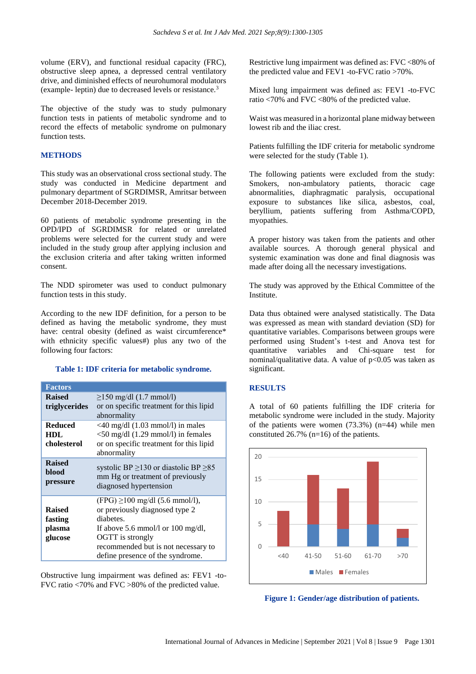volume (ERV), and functional residual capacity (FRC), obstructive sleep apnea, a depressed central ventilatory drive, and diminished effects of neurohumoral modulators (example- leptin) due to decreased levels or resistance.<sup>3</sup>

The objective of the study was to study pulmonary function tests in patients of metabolic syndrome and to record the effects of metabolic syndrome on pulmonary function tests.

#### **METHODS**

This study was an observational cross sectional study. The study was conducted in Medicine department and pulmonary department of SGRDIMSR, Amritsar between December 2018-December 2019.

60 patients of metabolic syndrome presenting in the OPD/IPD of SGRDIMSR for related or unrelated problems were selected for the current study and were included in the study group after applying inclusion and the exclusion criteria and after taking written informed consent.

The NDD spirometer was used to conduct pulmonary function tests in this study.

According to the new IDF definition, for a person to be defined as having the metabolic syndrome, they must have: central obesity (defined as waist circumference\* with ethnicity specific values#) plus any two of the following four factors:

#### **Table 1: IDF criteria for metabolic syndrome.**

| <b>Factors</b>                                |                                                                                                                                                                                                                        |  |  |  |
|-----------------------------------------------|------------------------------------------------------------------------------------------------------------------------------------------------------------------------------------------------------------------------|--|--|--|
| <b>Raised</b><br>triglycerides                | $\geq$ 150 mg/dl (1.7 mmol/l)<br>or on specific treatment for this lipid                                                                                                                                               |  |  |  |
| <b>Reduced</b><br><b>HDL</b><br>cholesterol   | abnormality<br>$\langle 40 \text{ mg/dl} (1.03 \text{ mmol/l})$ in males<br>$<$ 50 mg/dl (1.29 mmol/l) in females<br>or on specific treatment for this lipid<br>abnormality                                            |  |  |  |
| <b>Raised</b><br>blood<br>pressure            | systolic BP $\geq$ 130 or diastolic BP $\geq$ 85<br>mm Hg or treatment of previously<br>diagnosed hypertension                                                                                                         |  |  |  |
| <b>Raised</b><br>fasting<br>plasma<br>glucose | $(FPG) \ge 100$ mg/dl (5.6 mmol/l),<br>or previously diagnosed type 2<br>diabetes.<br>If above 5.6 mmol/l or 100 mg/dl,<br>OGTT is strongly<br>recommended but is not necessary to<br>define presence of the syndrome. |  |  |  |

Obstructive lung impairment was defined as: FEV1 -to-FVC ratio <70% and FVC >80% of the predicted value.

Restrictive lung impairment was defined as: FVC <80% of the predicted value and FEV1 -to-FVC ratio >70%.

Mixed lung impairment was defined as: FEV1 -to-FVC ratio <70% and FVC <80% of the predicted value.

Waist was measured in a horizontal plane midway between lowest rib and the iliac crest.

Patients fulfilling the IDF criteria for metabolic syndrome were selected for the study (Table 1).

The following patients were excluded from the study: Smokers, non-ambulatory patients, thoracic cage abnormalities, diaphragmatic paralysis, occupational exposure to substances like silica, asbestos, coal, beryllium, patients suffering from Asthma/COPD, myopathies.

A proper history was taken from the patients and other available sources. A thorough general physical and systemic examination was done and final diagnosis was made after doing all the necessary investigations.

The study was approved by the Ethical Committee of the Institute.

Data thus obtained were analysed statistically. The Data was expressed as mean with standard deviation (SD) for quantitative variables. Comparisons between groups were performed using Student's t-test and Anova test for quantitative variables and Chi-square test for nominal/qualitative data. A value of  $p<0.05$  was taken as significant.

#### **RESULTS**

A total of 60 patients fulfilling the IDF criteria for metabolic syndrome were included in the study. Majority of the patients were women (73.3%) (n=44) while men constituted 26.7% (n=16) of the patients.



**Figure 1: Gender/age distribution of patients.**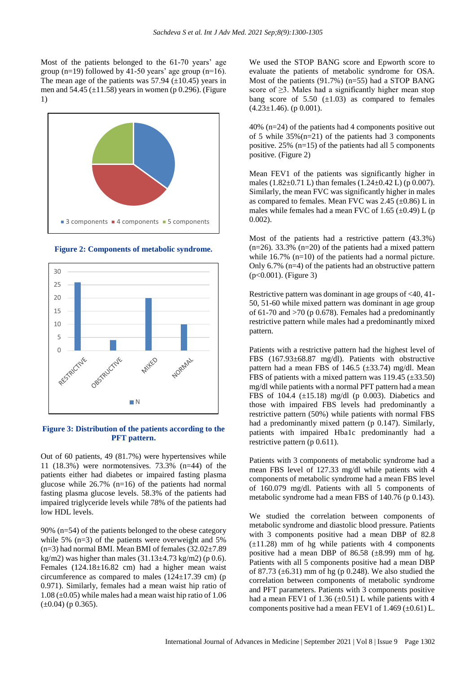Most of the patients belonged to the 61-70 years' age group (n=19) followed by 41-50 years' age group (n=16). The mean age of the patients was  $57.94$  ( $\pm$ 10.45) years in men and  $54.45 \ (\pm 11.58)$  years in women (p 0.296). (Figure 1)



**Figure 2: Components of metabolic syndrome.**



#### **Figure 3: Distribution of the patients according to the PFT pattern.**

Out of 60 patients, 49 (81.7%) were hypertensives while 11 (18.3%) were normotensives. 73.3% (n=44) of the patients either had diabetes or impaired fasting plasma glucose while  $26.7\%$  (n=16) of the patients had normal fasting plasma glucose levels. 58.3% of the patients had impaired triglyceride levels while 78% of the patients had low HDL levels.

90% (n=54) of the patients belonged to the obese category while 5%  $(n=3)$  of the patients were overweight and 5%  $(n=3)$  had normal BMI. Mean BMI of females  $(32.02\pm7.89)$ kg/m2) was higher than males  $(31.13\pm4.73 \text{ kg/m2})$  (p 0.6). Females (124.18±16.82 cm) had a higher mean waist circumference as compared to males  $(124\pm 17.39 \text{ cm})$  (p 0.971). Similarly, females had a mean waist hip ratio of  $1.08 \ (\pm 0.05)$  while males had a mean waist hip ratio of 1.06  $(\pm 0.04)$  (p 0.365).

We used the STOP BANG score and Epworth score to evaluate the patients of metabolic syndrome for OSA. Most of the patients  $(91.7\%)$  (n=55) had a STOP BANG score of  $\geq$ 3. Males had a significantly higher mean stop bang score of  $5.50 \ (\pm 1.03)$  as compared to females  $(4.23 \pm 1.46)$ . (p 0.001).

40% (n=24) of the patients had 4 components positive out of 5 while  $35\%$  (n=21) of the patients had 3 components positive. 25% (n=15) of the patients had all 5 components positive. (Figure 2)

Mean FEV1 of the patients was significantly higher in males (1.82 $\pm$ 0.71 L) than females (1.24 $\pm$ 0.42 L) (p 0.007). Similarly, the mean FVC was significantly higher in males as compared to females. Mean FVC was  $2.45 \ (\pm 0.86)$  L in males while females had a mean FVC of 1.65  $(\pm 0.49)$  L (p 0.002).

Most of the patients had a restrictive pattern (43.3%)  $(n=26)$ . 33.3%  $(n=20)$  of the patients had a mixed pattern while 16.7% (n=10) of the patients had a normal picture. Only 6.7% (n=4) of the patients had an obstructive pattern (p<0.001). (Figure 3)

Restrictive pattern was dominant in age groups of <40, 41- 50, 51-60 while mixed pattern was dominant in age group of 61-70 and  $>70$  (p 0.678). Females had a predominantly restrictive pattern while males had a predominantly mixed pattern.

Patients with a restrictive pattern had the highest level of FBS (167.93±68.87 mg/dl). Patients with obstructive pattern had a mean FBS of  $146.5$  ( $\pm 33.74$ ) mg/dl. Mean FBS of patients with a mixed pattern was  $119.45$  ( $\pm 33.50$ ) mg/dl while patients with a normal PFT pattern had a mean FBS of 104.4  $(\pm 15.18)$  mg/dl (p 0.003). Diabetics and those with impaired FBS levels had predominantly a restrictive pattern (50%) while patients with normal FBS had a predominantly mixed pattern (p 0.147). Similarly, patients with impaired Hba1c predominantly had a restrictive pattern (p 0.611).

Patients with 3 components of metabolic syndrome had a mean FBS level of 127.33 mg/dl while patients with 4 components of metabolic syndrome had a mean FBS level of 160.079 mg/dl. Patients with all 5 components of metabolic syndrome had a mean FBS of 140.76 (p 0.143).

We studied the correlation between components of metabolic syndrome and diastolic blood pressure. Patients with 3 components positive had a mean DBP of 82.8  $(\pm 11.28)$  mm of hg while patients with 4 components positive had a mean DBP of  $86.58$  ( $\pm 8.99$ ) mm of hg. Patients with all 5 components positive had a mean DBP of 87.73  $(\pm 6.31)$  mm of hg (p 0.248). We also studied the correlation between components of metabolic syndrome and PFT parameters. Patients with 3 components positive had a mean FEV1 of 1.36  $(\pm 0.51)$  L while patients with 4 components positive had a mean FEV1 of  $1.469 \left(\pm 0.61\right)$  L.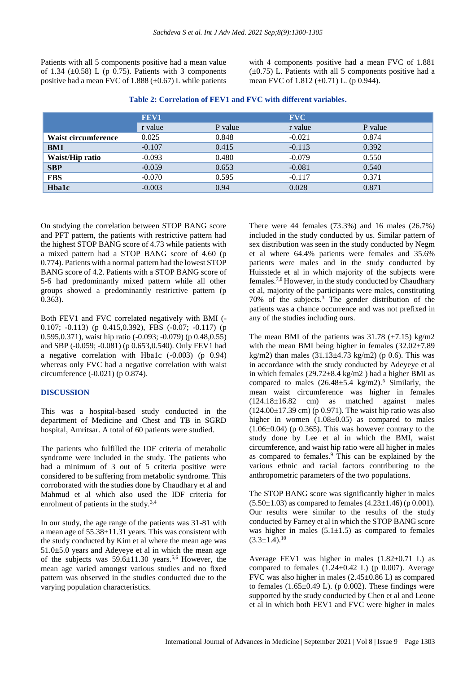Patients with all 5 components positive had a mean value of 1.34  $(\pm 0.58)$  L (p 0.75). Patients with 3 components positive had a mean FVC of 1.888  $(\pm 0.67)$  L while patients with 4 components positive had a mean FVC of 1.881  $(\pm 0.75)$  L. Patients with all 5 components positive had a mean FVC of 1.812 (±0.71) L. (p 0.944).

|                     | FEV1     |         | <b>FVC</b> |         |
|---------------------|----------|---------|------------|---------|
|                     | r value  | P value | r value    | P value |
| Waist circumference | 0.025    | 0.848   | $-0.021$   | 0.874   |
| <b>BMI</b>          | $-0.107$ | 0.415   | $-0.113$   | 0.392   |
| Waist/Hip ratio     | $-0.093$ | 0.480   | $-0.079$   | 0.550   |
| <b>SBP</b>          | $-0.059$ | 0.653   | $-0.081$   | 0.540   |
| <b>FBS</b>          | $-0.070$ | 0.595   | $-0.117$   | 0.371   |
| <b>Hba1c</b>        | $-0.003$ | 0.94    | 0.028      | 0.871   |

**Table 2: Correlation of FEV1 and FVC with different variables.**

On studying the correlation between STOP BANG score and PFT pattern, the patients with restrictive pattern had the highest STOP BANG score of 4.73 while patients with a mixed pattern had a STOP BANG score of 4.60 (p 0.774). Patients with a normal pattern had the lowest STOP BANG score of 4.2. Patients with a STOP BANG score of 5-6 had predominantly mixed pattern while all other groups showed a predominantly restrictive pattern (p 0.363).

Both FEV1 and FVC correlated negatively with BMI (- 0.107; -0.113) (p 0.415,0.392), FBS (-0.07; -0.117) (p 0.595,0.371), waist hip ratio (-0.093; -0.079) (p 0.48,0.55) and SBP (-0.059; -0.081) (p 0.653,0.540). Only FEV1 had a negative correlation with Hba1c (-0.003) (p 0.94) whereas only FVC had a negative correlation with waist circumference (-0.021) (p 0.874).

#### **DISCUSSION**

This was a hospital-based study conducted in the department of Medicine and Chest and TB in SGRD hospital, Amritsar. A total of 60 patients were studied.

The patients who fulfilled the IDF criteria of metabolic syndrome were included in the study. The patients who had a minimum of 3 out of 5 criteria positive were considered to be suffering from metabolic syndrome. This corroborated with the studies done by Chaudhary et al and Mahmud et al which also used the IDF criteria for enrolment of patients in the study.<sup>3,4</sup>

In our study, the age range of the patients was 31-81 with a mean age of 55.38±11.31 years. This was consistent with the study conducted by Kim et al where the mean age was  $51.0\pm5.0$  years and Adeyeye et al in which the mean age of the subjects was  $59.6 \pm 11.30$  years.<sup>5,6</sup> However, the mean age varied amongst various studies and no fixed pattern was observed in the studies conducted due to the varying population characteristics.

There were 44 females (73.3%) and 16 males (26.7%) included in the study conducted by us. Similar pattern of sex distribution was seen in the study conducted by Negm et al where 64.4% patients were females and 35.6% patients were males and in the study conducted by Huisstede et al in which majority of the subjects were females.7,8 However, in the study conducted by Chaudhary et al, majority of the participants were males, constituting 70% of the subjects.<sup>3</sup> The gender distribution of the patients was a chance occurrence and was not prefixed in any of the studies including ours.

The mean BMI of the patients was  $31.78$  ( $\pm$ 7.15) kg/m2 with the mean BMI being higher in females  $(32.02 \pm 7.89)$ kg/m2) than males  $(31.13 \pm 4.73 \text{ kg/m2})$  (p 0.6). This was in accordance with the study conducted by Adeyeye et al in which females  $(29.72 \pm 8.4 \text{ kg/m2})$  had a higher BMI as compared to males  $(26.48\pm5.4 \text{ kg/m2})$ .<sup>6</sup> Similarly, the mean waist circumference was higher in females  $(124.18\pm16.82$  cm) as matched against males  $(124.00\pm17.39 \text{ cm})$  (p 0.971). The waist hip ratio was also higher in women  $(1.08\pm0.05)$  as compared to males  $(1.06\pm0.04)$  (p 0.365). This was however contrary to the study done by Lee et al in which the BMI, waist circumference, and waist hip ratio were all higher in males as compared to females.<sup>9</sup> This can be explained by the various ethnic and racial factors contributing to the anthropometric parameters of the two populations.

The STOP BANG score was significantly higher in males  $(5.50\pm1.03)$  as compared to females  $(4.23\pm1.46)$  (p 0.001). Our results were similar to the results of the study conducted by Farney et al in which the STOP BANG score was higher in males  $(5.1 \pm 1.5)$  as compared to females  $(3.3+1.4)$ <sup>10</sup>

Average FEV1 was higher in males (1.82±0.71 L) as compared to females  $(1.24 \pm 0.42 \text{ L})$  (p 0.007). Average FVC was also higher in males (2.45±0.86 L) as compared to females  $(1.65\pm0.49 \text{ L})$ . (p 0.002). These findings were supported by the study conducted by Chen et al and Leone et al in which both FEV1 and FVC were higher in males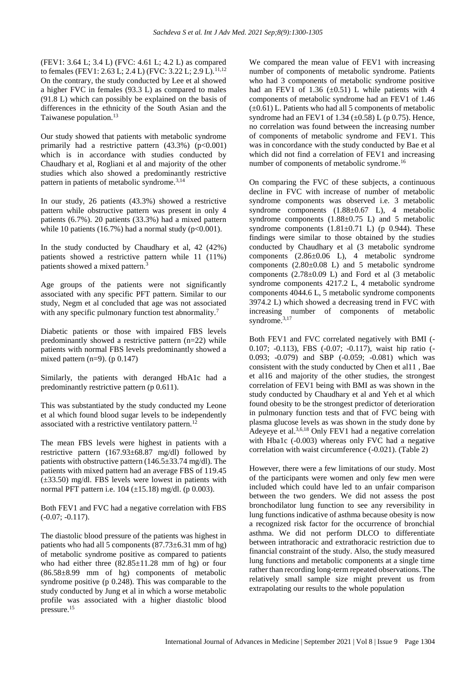(FEV1: 3.64 L; 3.4 L) (FVC: 4.61 L; 4.2 L) as compared to females (FEV1: 2.63 L; 2.4 L) (FVC: 3.22 L; 2.9 L).<sup>11,12</sup> On the contrary, the study conducted by Lee et al showed a higher FVC in females (93.3 L) as compared to males (91.8 L) which can possibly be explained on the basis of differences in the ethnicity of the South Asian and the Taiwanese population.<sup>13</sup>

Our study showed that patients with metabolic syndrome primarily had a restrictive pattern  $(43.3\%)$   $(p<0.001)$ which is in accordance with studies conducted by Chaudhary et al, Rogliani et al and majority of the other studies which also showed a predominantly restrictive pattern in patients of metabolic syndrome.3,14

In our study, 26 patients (43.3%) showed a restrictive pattern while obstructive pattern was present in only 4 patients (6.7%). 20 patients (33.3%) had a mixed pattern while 10 patients (16.7%) had a normal study ( $p < 0.001$ ).

In the study conducted by Chaudhary et al, 42 (42%) patients showed a restrictive pattern while 11 (11%) patients showed a mixed pattern.<sup>3</sup>

Age groups of the patients were not significantly associated with any specific PFT pattern. Similar to our study, Negm et al concluded that age was not associated with any specific pulmonary function test abnormality.<sup>7</sup>

Diabetic patients or those with impaired FBS levels predominantly showed a restrictive pattern (n=22) while patients with normal FBS levels predominantly showed a mixed pattern  $(n=9)$ . (p 0.147)

Similarly, the patients with deranged HbA1c had a predominantly restrictive pattern (p 0.611).

This was substantiated by the study conducted my Leone et al which found blood sugar levels to be independently associated with a restrictive ventilatory pattern.<sup>12</sup>

The mean FBS levels were highest in patients with a restrictive pattern (167.93±68.87 mg/dl) followed by patients with obstructive pattern (146.5±33.74 mg/dl). The patients with mixed pattern had an average FBS of 119.45 (±33.50) mg/dl. FBS levels were lowest in patients with normal PFT pattern i.e. 104 (±15.18) mg/dl. (p 0.003).

Both FEV1 and FVC had a negative correlation with FBS  $(-0.07; -0.117)$ .

The diastolic blood pressure of the patients was highest in patients who had all 5 components  $(87.73\pm6.31$  mm of hg) of metabolic syndrome positive as compared to patients who had either three  $(82.85 \pm 11.28 \text{ mm of }\text{hg})$  or four (86.58±8.99 mm of hg) components of metabolic syndrome positive (p 0.248). This was comparable to the study conducted by Jung et al in which a worse metabolic profile was associated with a higher diastolic blood pressure.<sup>15</sup>

We compared the mean value of FEV1 with increasing number of components of metabolic syndrome. Patients who had 3 components of metabolic syndrome positive had an FEV1 of 1.36  $(\pm 0.51)$  L while patients with 4 components of metabolic syndrome had an FEV1 of 1.46  $(\pm 0.61)$  L. Patients who had all 5 components of metabolic syndrome had an FEV1 of 1.34  $(\pm 0.58)$  L (p 0.75). Hence, no correlation was found between the increasing number of components of metabolic syndrome and FEV1. This was in concordance with the study conducted by Bae et al which did not find a correlation of FEV1 and increasing number of components of metabolic syndrome.<sup>16</sup>

On comparing the FVC of these subjects, a continuous decline in FVC with increase of number of metabolic syndrome components was observed i.e. 3 metabolic syndrome components (1.88±0.67 L), 4 metabolic syndrome components (1.88±0.75 L) and 5 metabolic syndrome components  $(1.81 \pm 0.71)$  (p 0.944). These findings were similar to those obtained by the studies conducted by Chaudhary et al (3 metabolic syndrome components (2.86±0.06 L), 4 metabolic syndrome components (2.80±0.08 L) and 5 metabolic syndrome components  $(2.78\pm0.09)$  L) and Ford et al  $(3 \text{ metabolic})$ syndrome components 4217.2 L, 4 metabolic syndrome components 4044.6 L, 5 metabolic syndrome components 3974.2 L) which showed a decreasing trend in FVC with increasing number of components of metabolic syndrome.<sup>3,17</sup>

Both FEV1 and FVC correlated negatively with BMI (- 0.107; -0.113), FBS (-0.07; -0.117), waist hip ratio (- 0.093; -0.079) and SBP (-0.059; -0.081) which was consistent with the study conducted by Chen et al11 , Bae et al16 and majority of the other studies, the strongest correlation of FEV1 being with BMI as was shown in the study conducted by Chaudhary et al and Yeh et al which found obesity to be the strongest predictor of deterioration in pulmonary function tests and that of FVC being with plasma glucose levels as was shown in the study done by Adeyeye et al.3,6,18 Only FEV1 had a negative correlation with Hba1c (-0.003) whereas only FVC had a negative correlation with waist circumference (-0.021). (Table 2)

However, there were a few limitations of our study. Most of the participants were women and only few men were included which could have led to an unfair comparison between the two genders. We did not assess the post bronchodilator lung function to see any reversibility in lung functions indicative of asthma because obesity is now a recognized risk factor for the occurrence of bronchial asthma. We did not perform DLCO to differentiate between intrathoracic and extrathoracic restriction due to financial constraint of the study. Also, the study measured lung functions and metabolic components at a single time rather than recording long-term repeated observations. The relatively small sample size might prevent us from extrapolating our results to the whole population